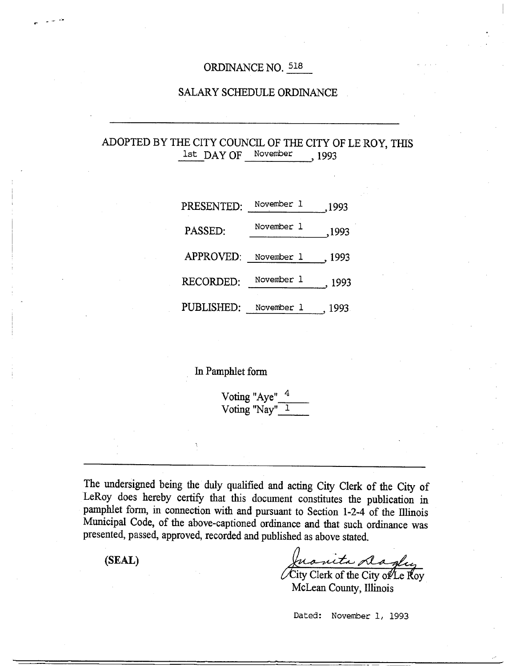# ORDINANCE NO. 518

### SALARY SCHEDULE ORDINANCE

# ADOPTED BY THE CITY COUNCIL OF THE CITY OF LE ROY, THIS 1st DAY OF November , 1993

| PRESENTED:       | November 1 | ,1993  |
|------------------|------------|--------|
| PASSED:          | November 1 | ,1993  |
| APPROVED:        | November 1 | , 1993 |
| <b>RECORDED:</b> | November 1 | , 1993 |
| PUBLISHED:       | November 1 | 1993   |

## In Pamphlet form

Voting "Aye"  $4$ Voting "Nay" 1

The undersigned being the duly qualified and acting City Clerk of the City of LeRoy does hereby certify that this document constitutes the publication in pamphlet form, in connection with and pursuant to Section 1-2-4 of the Illinois Municipal Code, of the above-captioned ordinance and that such ordinance was presented, passed, approved, recorded and published as above stated.

**(SEAL)** 

Juanita dagley

McLean County, Illinois

Dated: November 1, 1993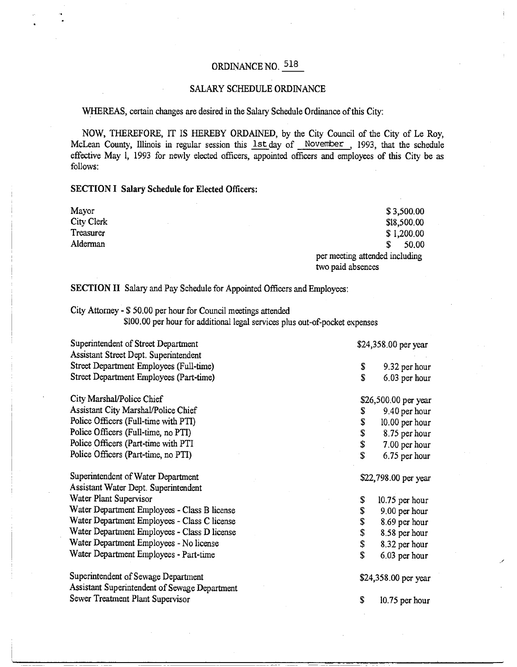# ORDINANCE NO. 518

# SALARY SCHEDULE ORDINANCE

## WHEREAS, certain changes are desired in the Salary Schedule Ordinance of this City:

NOW, THEREFORE, IT IS HEREBY ORDAINED, by the City Council of the City of Le Roy, McLean County, Illinois in regular session this **1st day of November**, 1993, that the schedule ' effective May 1, 1993 for newly elected officers, appointed officers and employees of this City be as follows:

#### **SECTION I Salary Schedule for Elected Officers:**

| Mayor      | \$3,500.00                     |
|------------|--------------------------------|
| City Clerk | \$18,500.00                    |
| Treasurer  | \$1,200.00                     |
| Alderman   | 50.00                          |
|            | per meeting attended including |
|            | two paid absences              |

SECTION II Salary and Pay Schedule for Appointed Officers and Employees:

City Attorney - \$ 50.00 per hour for Council meetings attended

\$100.00 per hour for additional legal services plus out-of-pocket expenses

| Superintendent of Street Department           | \$24,358.00 per year |                      |  |
|-----------------------------------------------|----------------------|----------------------|--|
| Assistant Street Dept. Superintendent         |                      |                      |  |
| Street Department Employees (Full-time)       | \$                   | 9.32 per hour        |  |
| Street Department Employees (Part-time)       | S                    | 6.03 per hour        |  |
| City Marshal/Police Chief                     |                      | \$26,500.00 per year |  |
| Assistant City Marshal/Police Chief           | \$                   | 9.40 per hour        |  |
| Police Officers (Full-time with PTI)          | \$                   | 10.00 per hour       |  |
| Police Officers (Full-time, no PTI)           | \$                   | 8.75 per hour        |  |
| Police Officers (Part-time with PTI           | \$                   | 7.00 per hour        |  |
| Police Officers (Part-time, no PTI)           | $\mathbf S$          | 6.75 per hour        |  |
| Superintendent of Water Department            |                      | \$22,798.00 per year |  |
| Assistant Water Dept. Superintendent          |                      |                      |  |
| Water Plant Supervisor                        | \$                   | 10.75 per hour       |  |
| Water Department Employees - Class B license  | \$                   | 9.00 per hour        |  |
| Water Department Employees - Class C license  | \$                   | 8.69 per hour        |  |
| Water Department Employees - Class D license  | \$                   | 8.58 per hour        |  |
| Water Department Employees - No license       | \$                   | 8.32 per hour        |  |
| Water Department Employees - Part-time        | \$                   | 6.03 per hour        |  |
| Superintendent of Sewage Department           |                      | \$24,358.00 per year |  |
| Assistant Superintendent of Sewage Department |                      |                      |  |
| Sewer Treatment Plant Supervisor              | S                    | 10.75 per hour       |  |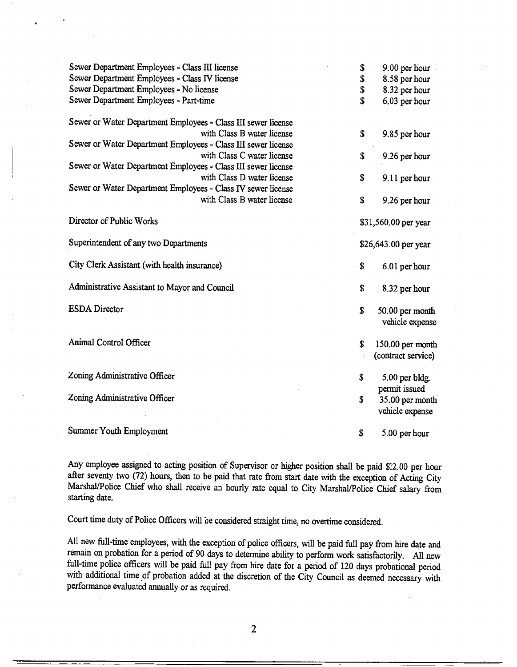| Sewer Department Employees - Class III license                | \$                   | 9.00 per hour        |
|---------------------------------------------------------------|----------------------|----------------------|
| Sewer Department Employees - Class IV license                 | \$                   | 8.58 per hour        |
| Sewer Department Employees - No license                       | \$                   | 8.32 per hour        |
| Sewer Department Employees - Part-time                        | \$                   | 6.03 per hour        |
| Sewer or Water Department Employees - Class III sewer license |                      |                      |
| with Class B water license                                    | \$                   | 9.85 per hour        |
| Sewer or Water Department Employees - Class III sewer license |                      |                      |
| with Class C water license                                    | \$                   | 9.26 per hour        |
| Sewer or Water Department Employees - Class III sewer license |                      |                      |
| with Class D water license                                    | \$                   | 9.11 per hour        |
| Sewer or Water Department Employees - Class IV sewer license  |                      |                      |
| with Class B water license                                    | \$                   | 9.26 per hour        |
| Director of Public Works                                      |                      | \$31,560.00 per year |
|                                                               |                      |                      |
| Superintendent of any two Departments                         | \$26,643.00 per year |                      |
| City Clerk Assistant (with health insurance)                  | \$                   | 6.01 per hour        |
| Administrative Assistant to Mayor and Council                 | \$                   | 8.32 per hour        |
| <b>ESDA</b> Director                                          | $\mathbf S$          | 50.00 per month      |
|                                                               |                      | vehicle expense      |
| Animal Control Officer                                        | \$                   | 150.00 per month     |
|                                                               |                      | (contract service)   |
| Zoning Administrative Officer                                 | \$                   | 5.00 per bldg.       |
|                                                               |                      | permit issued        |
| Zoning Administrative Officer                                 | \$                   | 35.00 per month      |
|                                                               |                      | vehicle expense      |
| Summer Youth Employment                                       | \$                   | 5.00 per hour        |
|                                                               |                      |                      |

Any employee assigned to acting position of Supervisor or higher position shall be paid \$12.00 per hour after seventy two (72) hours, then to be paid that rate from start date with the exception of Acting City Marshal/Police Chief who shall receive an hourly rate equal to City Marshal/Police Chief salary from starting date.

Court time duty of Police Officers will be considered straight time, no overtime considered.

All new full-time employees, with the exception of police officers, will be paid full pay from hire date and remain on probation for a period of 90 days to determine ability to perform work satisfactorily. All new full-time police officers will be paid full pay from hire date for a period of 120 days probational period with additional time of probation added at the discretion of the City Council as deemed necessary with performance evaluated annually or as required.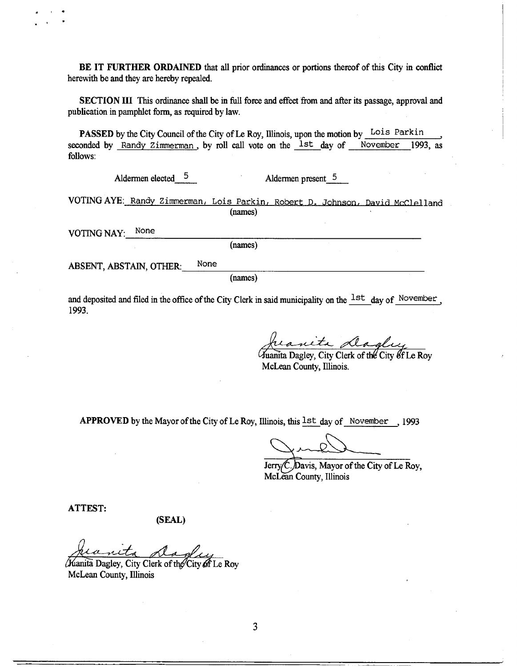**BE IT FURTHER ORDAINED** that all prior ordinances or portions thereof of this City in conflict herewith be and they are hereby repealed.

SECTION III This ordinance shall be in full force and effect from and after its passage, approval and publication in pamphlet form, as required by law.

PASSED by the City Council of the City of Le Roy, Illinois, upon the motion by Lois Parkin seconded by Randy Zimmerman, by roll call vote on the <sup>1st</sup> day of November 1993, as follows:

Aldermen elected  $5$  Aldermen present 5

VOTING AYE: Randy Zimmerman, Lois Parkin, Robert D. Johnson, David McClelland (names)

VOTING NAY: None

(names)

ABSENT, ABSTAIN, OTHER: None

(names)

and deposited and filed in the office of the City Clerk in said municipality on the  $1st$  day of November 1993.

Juanita <u>Lagley</u>

McLean County, Illinois.

**APPROVED** by the Mayor of the City of Le Roy, Illinois, this 1st day of November , <sup>1993</sup>

Jerry C. Davis, Mayor of the City of Le Roy, McLean County, Illinois

**ATTEST:** 

**(SEAL)** 

(Kianita Dagley, City Clerk of the City of Le Rov McLean County, Illinois